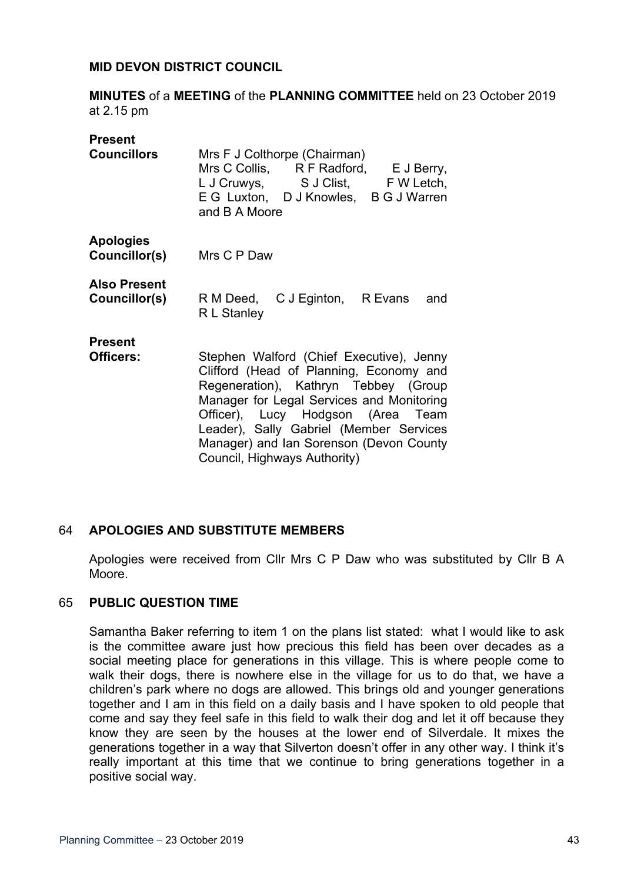#### **MID DEVON DISTRICT COUNCIL**

**MINUTES** of a **MEETING** of the **PLANNING COMMITTEE** held on 23 October 2019 at 2.15 pm

| <b>Present</b>                       |                                                                                                                                                                                                                                                                                                                                     |
|--------------------------------------|-------------------------------------------------------------------------------------------------------------------------------------------------------------------------------------------------------------------------------------------------------------------------------------------------------------------------------------|
| <b>Councillors</b>                   | Mrs F J Colthorpe (Chairman)<br>Mrs C Collis, R F Radford, E J Berry,<br>L J Cruwys, S J Clist, F W Letch,<br>E G Luxton, D J Knowles, B G J Warren<br>and B A Moore                                                                                                                                                                |
| <b>Apologies</b><br>Councillor(s)    | Mrs C P Daw                                                                                                                                                                                                                                                                                                                         |
| <b>Also Present</b><br>Councillor(s) | R M Deed, C J Eginton, R Evans<br>and<br>R L Stanley                                                                                                                                                                                                                                                                                |
| <b>Present</b><br>Officers:          | Stephen Walford (Chief Executive), Jenny<br>Clifford (Head of Planning, Economy and<br>Regeneration), Kathryn Tebbey (Group<br>Manager for Legal Services and Monitoring<br>Officer), Lucy Hodgson (Area Team<br>Leader), Sally Gabriel (Member Services<br>Manager) and Ian Sorenson (Devon County<br>Council, Highways Authority) |

## 64 **APOLOGIES AND SUBSTITUTE MEMBERS**

Apologies were received from Cllr Mrs C P Daw who was substituted by Cllr B A Moore.

#### 65 **PUBLIC QUESTION TIME**

Samantha Baker referring to item 1 on the plans list stated: what I would like to ask is the committee aware just how precious this field has been over decades as a social meeting place for generations in this village. This is where people come to walk their dogs, there is nowhere else in the village for us to do that, we have a children's park where no dogs are allowed. This brings old and younger generations together and I am in this field on a daily basis and I have spoken to old people that come and say they feel safe in this field to walk their dog and let it off because they know they are seen by the houses at the lower end of Silverdale. It mixes the generations together in a way that Silverton doesn't offer in any other way. I think it's really important at this time that we continue to bring generations together in a positive social way.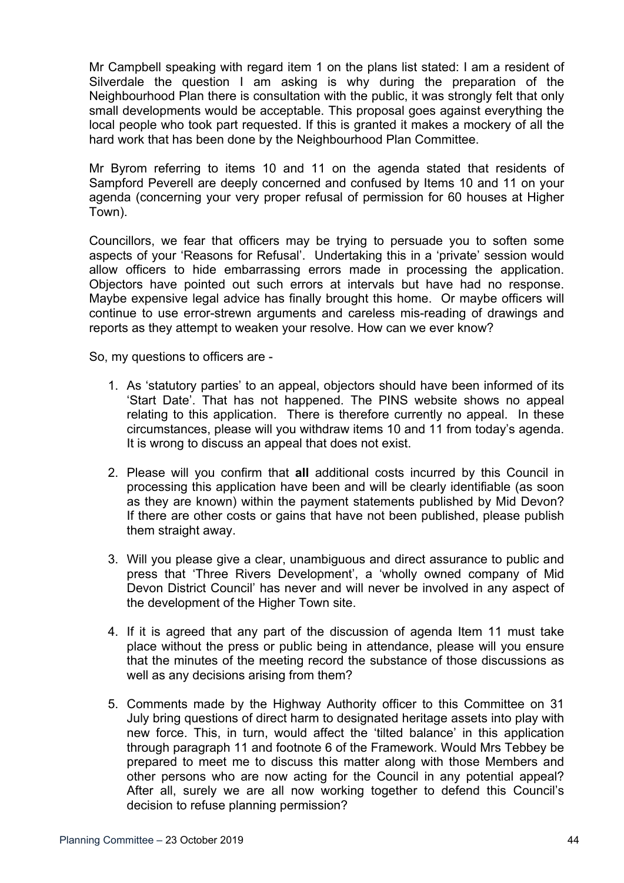Mr Campbell speaking with regard item 1 on the plans list stated: I am a resident of Silverdale the question I am asking is why during the preparation of the Neighbourhood Plan there is consultation with the public, it was strongly felt that only small developments would be acceptable. This proposal goes against everything the local people who took part requested. If this is granted it makes a mockery of all the hard work that has been done by the Neighbourhood Plan Committee.

Mr Byrom referring to items 10 and 11 on the agenda stated that residents of Sampford Peverell are deeply concerned and confused by Items 10 and 11 on your agenda (concerning your very proper refusal of permission for 60 houses at Higher Town).

Councillors, we fear that officers may be trying to persuade you to soften some aspects of your 'Reasons for Refusal'. Undertaking this in a 'private' session would allow officers to hide embarrassing errors made in processing the application. Objectors have pointed out such errors at intervals but have had no response. Maybe expensive legal advice has finally brought this home. Or maybe officers will continue to use error-strewn arguments and careless mis-reading of drawings and reports as they attempt to weaken your resolve. How can we ever know?

So, my questions to officers are -

- 1. As 'statutory parties' to an appeal, objectors should have been informed of its 'Start Date'. That has not happened. The PINS website shows no appeal relating to this application. There is therefore currently no appeal. In these circumstances, please will you withdraw items 10 and 11 from today's agenda. It is wrong to discuss an appeal that does not exist.
- 2. Please will you confirm that **all** additional costs incurred by this Council in processing this application have been and will be clearly identifiable (as soon as they are known) within the payment statements published by Mid Devon? If there are other costs or gains that have not been published, please publish them straight away.
- 3. Will you please give a clear, unambiguous and direct assurance to public and press that 'Three Rivers Development', a 'wholly owned company of Mid Devon District Council' has never and will never be involved in any aspect of the development of the Higher Town site.
- 4. If it is agreed that any part of the discussion of agenda Item 11 must take place without the press or public being in attendance, please will you ensure that the minutes of the meeting record the substance of those discussions as well as any decisions arising from them?
- 5. Comments made by the Highway Authority officer to this Committee on 31 July bring questions of direct harm to designated heritage assets into play with new force. This, in turn, would affect the 'tilted balance' in this application through paragraph 11 and footnote 6 of the Framework. Would Mrs Tebbey be prepared to meet me to discuss this matter along with those Members and other persons who are now acting for the Council in any potential appeal? After all, surely we are all now working together to defend this Council's decision to refuse planning permission?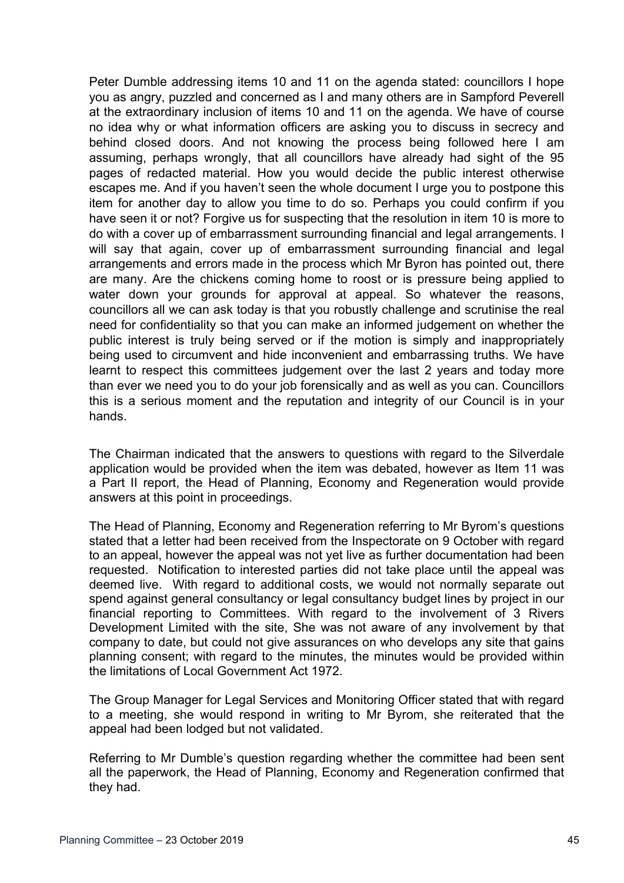Peter Dumble addressing items 10 and 11 on the agenda stated: councillors I hope you as angry, puzzled and concerned as I and many others are in Sampford Peverell at the extraordinary inclusion of items 10 and 11 on the agenda. We have of course no idea why or what information officers are asking you to discuss in secrecy and behind closed doors. And not knowing the process being followed here I am assuming, perhaps wrongly, that all councillors have already had sight of the 95 pages of redacted material. How you would decide the public interest otherwise escapes me. And if you haven't seen the whole document I urge you to postpone this item for another day to allow you time to do so. Perhaps you could confirm if you have seen it or not? Forgive us for suspecting that the resolution in item 10 is more to do with a cover up of embarrassment surrounding financial and legal arrangements. I will say that again, cover up of embarrassment surrounding financial and legal arrangements and errors made in the process which Mr Byron has pointed out, there are many. Are the chickens coming home to roost or is pressure being applied to water down your grounds for approval at appeal. So whatever the reasons, councillors all we can ask today is that you robustly challenge and scrutinise the real need for confidentiality so that you can make an informed judgement on whether the public interest is truly being served or if the motion is simply and inappropriately being used to circumvent and hide inconvenient and embarrassing truths. We have learnt to respect this committees judgement over the last 2 years and today more than ever we need you to do your job forensically and as well as you can. Councillors this is a serious moment and the reputation and integrity of our Council is in your hands.

The Chairman indicated that the answers to questions with regard to the Silverdale application would be provided when the item was debated, however as Item 11 was a Part II report, the Head of Planning, Economy and Regeneration would provide answers at this point in proceedings.

The Head of Planning, Economy and Regeneration referring to Mr Byrom's questions stated that a letter had been received from the Inspectorate on 9 October with regard to an appeal, however the appeal was not yet live as further documentation had been requested. Notification to interested parties did not take place until the appeal was deemed live. With regard to additional costs, we would not normally separate out spend against general consultancy or legal consultancy budget lines by project in our financial reporting to Committees. With regard to the involvement of 3 Rivers Development Limited with the site, She was not aware of any involvement by that company to date, but could not give assurances on who develops any site that gains planning consent; with regard to the minutes, the minutes would be provided within the limitations of Local Government Act 1972.

The Group Manager for Legal Services and Monitoring Officer stated that with regard to a meeting, she would respond in writing to Mr Byrom, she reiterated that the appeal had been lodged but not validated.

Referring to Mr Dumble's question regarding whether the committee had been sent all the paperwork, the Head of Planning, Economy and Regeneration confirmed that they had.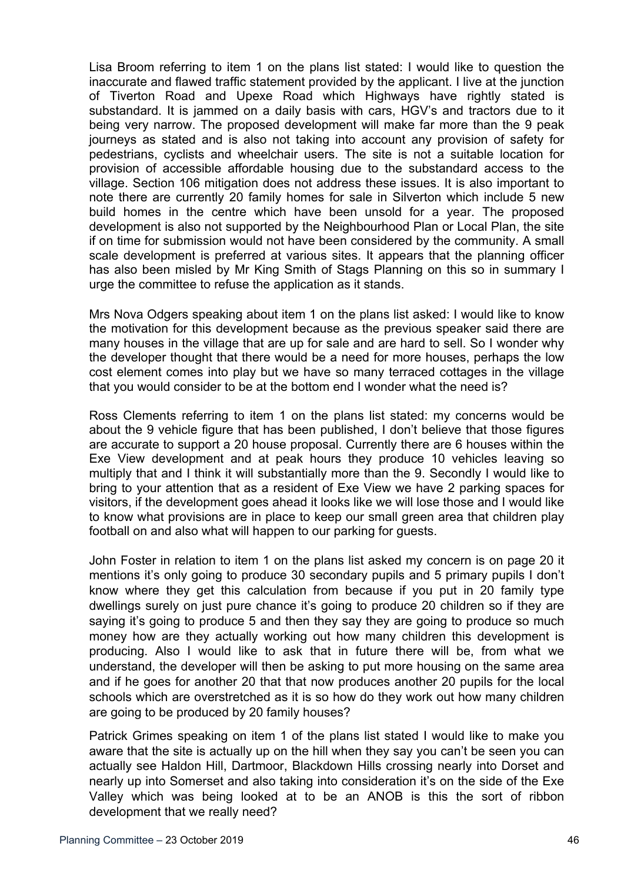Lisa Broom referring to item 1 on the plans list stated: I would like to question the inaccurate and flawed traffic statement provided by the applicant. I live at the junction of Tiverton Road and Upexe Road which Highways have rightly stated is substandard. It is jammed on a daily basis with cars, HGV's and tractors due to it being very narrow. The proposed development will make far more than the 9 peak journeys as stated and is also not taking into account any provision of safety for pedestrians, cyclists and wheelchair users. The site is not a suitable location for provision of accessible affordable housing due to the substandard access to the village. Section 106 mitigation does not address these issues. It is also important to note there are currently 20 family homes for sale in Silverton which include 5 new build homes in the centre which have been unsold for a year. The proposed development is also not supported by the Neighbourhood Plan or Local Plan, the site if on time for submission would not have been considered by the community. A small scale development is preferred at various sites. It appears that the planning officer has also been misled by Mr King Smith of Stags Planning on this so in summary I urge the committee to refuse the application as it stands.

Mrs Nova Odgers speaking about item 1 on the plans list asked: I would like to know the motivation for this development because as the previous speaker said there are many houses in the village that are up for sale and are hard to sell. So I wonder why the developer thought that there would be a need for more houses, perhaps the low cost element comes into play but we have so many terraced cottages in the village that you would consider to be at the bottom end I wonder what the need is?

Ross Clements referring to item 1 on the plans list stated: my concerns would be about the 9 vehicle figure that has been published, I don't believe that those figures are accurate to support a 20 house proposal. Currently there are 6 houses within the Exe View development and at peak hours they produce 10 vehicles leaving so multiply that and I think it will substantially more than the 9. Secondly I would like to bring to your attention that as a resident of Exe View we have 2 parking spaces for visitors, if the development goes ahead it looks like we will lose those and I would like to know what provisions are in place to keep our small green area that children play football on and also what will happen to our parking for guests.

John Foster in relation to item 1 on the plans list asked my concern is on page 20 it mentions it's only going to produce 30 secondary pupils and 5 primary pupils I don't know where they get this calculation from because if you put in 20 family type dwellings surely on just pure chance it's going to produce 20 children so if they are saying it's going to produce 5 and then they say they are going to produce so much money how are they actually working out how many children this development is producing. Also I would like to ask that in future there will be, from what we understand, the developer will then be asking to put more housing on the same area and if he goes for another 20 that that now produces another 20 pupils for the local schools which are overstretched as it is so how do they work out how many children are going to be produced by 20 family houses?

Patrick Grimes speaking on item 1 of the plans list stated I would like to make you aware that the site is actually up on the hill when they say you can't be seen you can actually see Haldon Hill, Dartmoor, Blackdown Hills crossing nearly into Dorset and nearly up into Somerset and also taking into consideration it's on the side of the Exe Valley which was being looked at to be an ANOB is this the sort of ribbon development that we really need?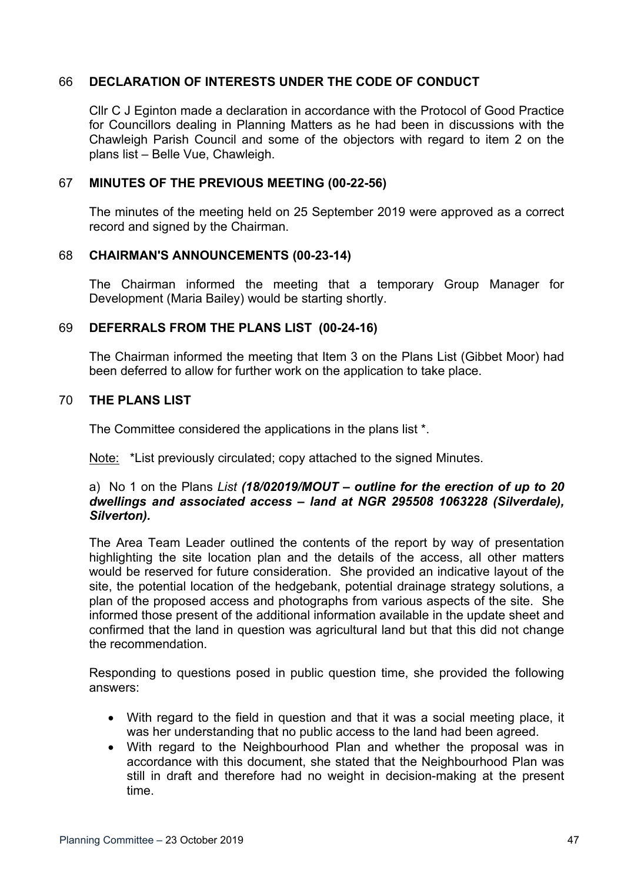## 66 **DECLARATION OF INTERESTS UNDER THE CODE OF CONDUCT**

Cllr C J Eginton made a declaration in accordance with the Protocol of Good Practice for Councillors dealing in Planning Matters as he had been in discussions with the Chawleigh Parish Council and some of the objectors with regard to item 2 on the plans list – Belle Vue, Chawleigh.

## 67 **MINUTES OF THE PREVIOUS MEETING (00-22-56)**

The minutes of the meeting held on 25 September 2019 were approved as a correct record and signed by the Chairman.

#### 68 **CHAIRMAN'S ANNOUNCEMENTS (00-23-14)**

The Chairman informed the meeting that a temporary Group Manager for Development (Maria Bailey) would be starting shortly.

#### 69 **DEFERRALS FROM THE PLANS LIST (00-24-16)**

The Chairman informed the meeting that Item 3 on the Plans List (Gibbet Moor) had been deferred to allow for further work on the application to take place.

#### 70 **THE PLANS LIST**

The Committee considered the applications in the plans list \*.

Note: \*List previously circulated; copy attached to the signed Minutes.

#### a) No 1 on the Plans *List (18/02019/MOUT – outline for the erection of up to 20 dwellings and associated access – land at NGR 295508 1063228 (Silverdale), Silverton).*

The Area Team Leader outlined the contents of the report by way of presentation highlighting the site location plan and the details of the access, all other matters would be reserved for future consideration. She provided an indicative layout of the site, the potential location of the hedgebank, potential drainage strategy solutions, a plan of the proposed access and photographs from various aspects of the site. She informed those present of the additional information available in the update sheet and confirmed that the land in question was agricultural land but that this did not change the recommendation.

Responding to questions posed in public question time, she provided the following answers:

- With regard to the field in question and that it was a social meeting place, it was her understanding that no public access to the land had been agreed.
- With regard to the Neighbourhood Plan and whether the proposal was in accordance with this document, she stated that the Neighbourhood Plan was still in draft and therefore had no weight in decision-making at the present time.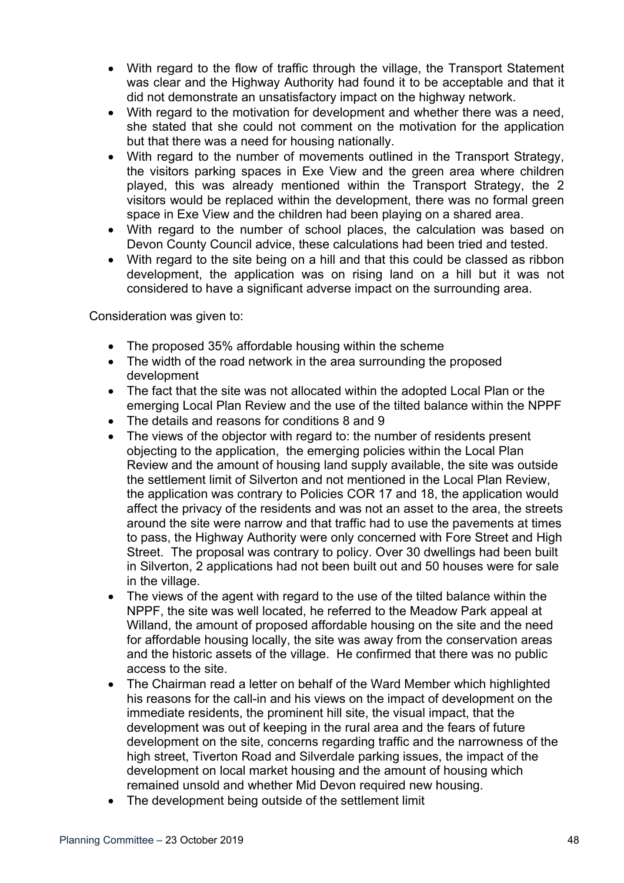- With regard to the flow of traffic through the village, the Transport Statement was clear and the Highway Authority had found it to be acceptable and that it did not demonstrate an unsatisfactory impact on the highway network.
- With regard to the motivation for development and whether there was a need, she stated that she could not comment on the motivation for the application but that there was a need for housing nationally.
- With regard to the number of movements outlined in the Transport Strategy, the visitors parking spaces in Exe View and the green area where children played, this was already mentioned within the Transport Strategy, the 2 visitors would be replaced within the development, there was no formal green space in Exe View and the children had been playing on a shared area.
- With regard to the number of school places, the calculation was based on Devon County Council advice, these calculations had been tried and tested.
- With regard to the site being on a hill and that this could be classed as ribbon development, the application was on rising land on a hill but it was not considered to have a significant adverse impact on the surrounding area.

Consideration was given to:

- The proposed 35% affordable housing within the scheme
- The width of the road network in the area surrounding the proposed development
- The fact that the site was not allocated within the adopted Local Plan or the emerging Local Plan Review and the use of the tilted balance within the NPPF
- The details and reasons for conditions 8 and 9
- The views of the objector with regard to: the number of residents present objecting to the application, the emerging policies within the Local Plan Review and the amount of housing land supply available, the site was outside the settlement limit of Silverton and not mentioned in the Local Plan Review, the application was contrary to Policies COR 17 and 18, the application would affect the privacy of the residents and was not an asset to the area, the streets around the site were narrow and that traffic had to use the pavements at times to pass, the Highway Authority were only concerned with Fore Street and High Street. The proposal was contrary to policy. Over 30 dwellings had been built in Silverton, 2 applications had not been built out and 50 houses were for sale in the village.
- The views of the agent with regard to the use of the tilted balance within the NPPF, the site was well located, he referred to the Meadow Park appeal at Willand, the amount of proposed affordable housing on the site and the need for affordable housing locally, the site was away from the conservation areas and the historic assets of the village. He confirmed that there was no public access to the site.
- The Chairman read a letter on behalf of the Ward Member which highlighted his reasons for the call-in and his views on the impact of development on the immediate residents, the prominent hill site, the visual impact, that the development was out of keeping in the rural area and the fears of future development on the site, concerns regarding traffic and the narrowness of the high street, Tiverton Road and Silverdale parking issues, the impact of the development on local market housing and the amount of housing which remained unsold and whether Mid Devon required new housing.
- The development being outside of the settlement limit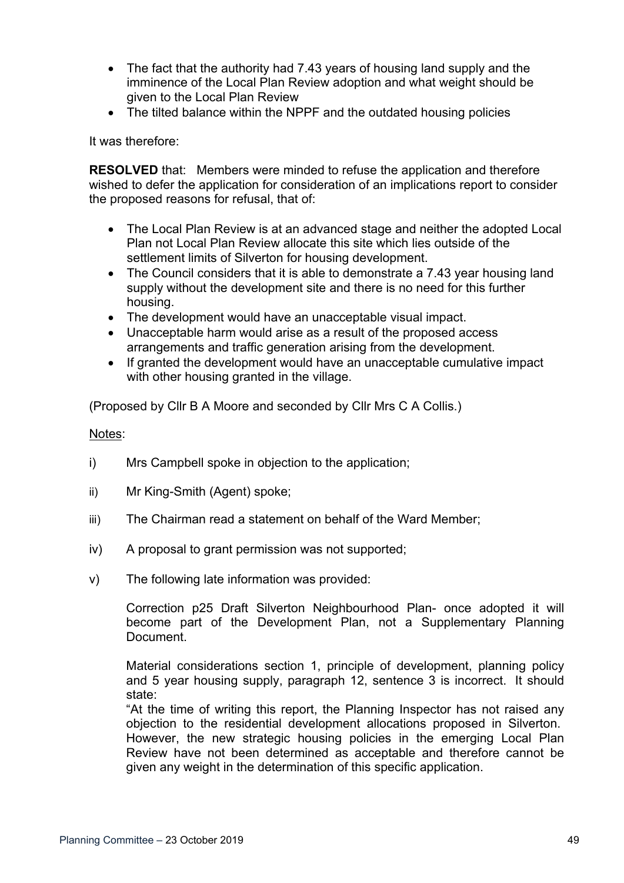- The fact that the authority had 7.43 years of housing land supply and the imminence of the Local Plan Review adoption and what weight should be given to the Local Plan Review
- The tilted balance within the NPPF and the outdated housing policies

It was therefore:

**RESOLVED** that: Members were minded to refuse the application and therefore wished to defer the application for consideration of an implications report to consider the proposed reasons for refusal, that of:

- The Local Plan Review is at an advanced stage and neither the adopted Local Plan not Local Plan Review allocate this site which lies outside of the settlement limits of Silverton for housing development.
- The Council considers that it is able to demonstrate a 7.43 year housing land supply without the development site and there is no need for this further housing.
- The development would have an unacceptable visual impact.
- Unacceptable harm would arise as a result of the proposed access arrangements and traffic generation arising from the development.
- If granted the development would have an unacceptable cumulative impact with other housing granted in the village.

(Proposed by Cllr B A Moore and seconded by Cllr Mrs C A Collis.)

Notes:

- i) Mrs Campbell spoke in objection to the application;
- ii) Mr King-Smith (Agent) spoke;
- iii) The Chairman read a statement on behalf of the Ward Member;
- iv) A proposal to grant permission was not supported;
- v) The following late information was provided:

Correction p25 Draft Silverton Neighbourhood Plan- once adopted it will become part of the Development Plan, not a Supplementary Planning Document.

Material considerations section 1, principle of development, planning policy and 5 year housing supply, paragraph 12, sentence 3 is incorrect. It should state:

"At the time of writing this report, the Planning Inspector has not raised any objection to the residential development allocations proposed in Silverton. However, the new strategic housing policies in the emerging Local Plan Review have not been determined as acceptable and therefore cannot be given any weight in the determination of this specific application.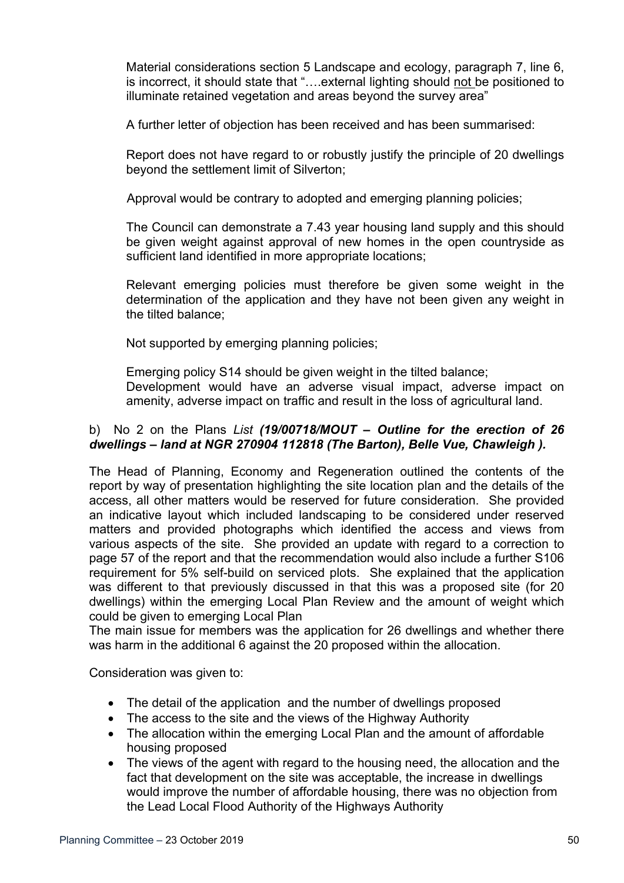Material considerations section 5 Landscape and ecology, paragraph 7, line 6, is incorrect, it should state that "….external lighting should not be positioned to illuminate retained vegetation and areas beyond the survey area"

A further letter of objection has been received and has been summarised:

Report does not have regard to or robustly justify the principle of 20 dwellings beyond the settlement limit of Silverton;

Approval would be contrary to adopted and emerging planning policies;

The Council can demonstrate a 7.43 year housing land supply and this should be given weight against approval of new homes in the open countryside as sufficient land identified in more appropriate locations;

Relevant emerging policies must therefore be given some weight in the determination of the application and they have not been given any weight in the tilted balance;

Not supported by emerging planning policies;

Emerging policy S14 should be given weight in the tilted balance;

Development would have an adverse visual impact, adverse impact on amenity, adverse impact on traffic and result in the loss of agricultural land.

# b) No 2 on the Plans *List (19/00718/MOUT – Outline for the erection of 26 dwellings – land at NGR 270904 112818 (The Barton), Belle Vue, Chawleigh ).*

The Head of Planning, Economy and Regeneration outlined the contents of the report by way of presentation highlighting the site location plan and the details of the access, all other matters would be reserved for future consideration. She provided an indicative layout which included landscaping to be considered under reserved matters and provided photographs which identified the access and views from various aspects of the site. She provided an update with regard to a correction to page 57 of the report and that the recommendation would also include a further S106 requirement for 5% self-build on serviced plots. She explained that the application was different to that previously discussed in that this was a proposed site (for 20 dwellings) within the emerging Local Plan Review and the amount of weight which could be given to emerging Local Plan

The main issue for members was the application for 26 dwellings and whether there was harm in the additional 6 against the 20 proposed within the allocation.

Consideration was given to:

- The detail of the application and the number of dwellings proposed
- The access to the site and the views of the Highway Authority
- The allocation within the emerging Local Plan and the amount of affordable housing proposed
- The views of the agent with regard to the housing need, the allocation and the fact that development on the site was acceptable, the increase in dwellings would improve the number of affordable housing, there was no objection from the Lead Local Flood Authority of the Highways Authority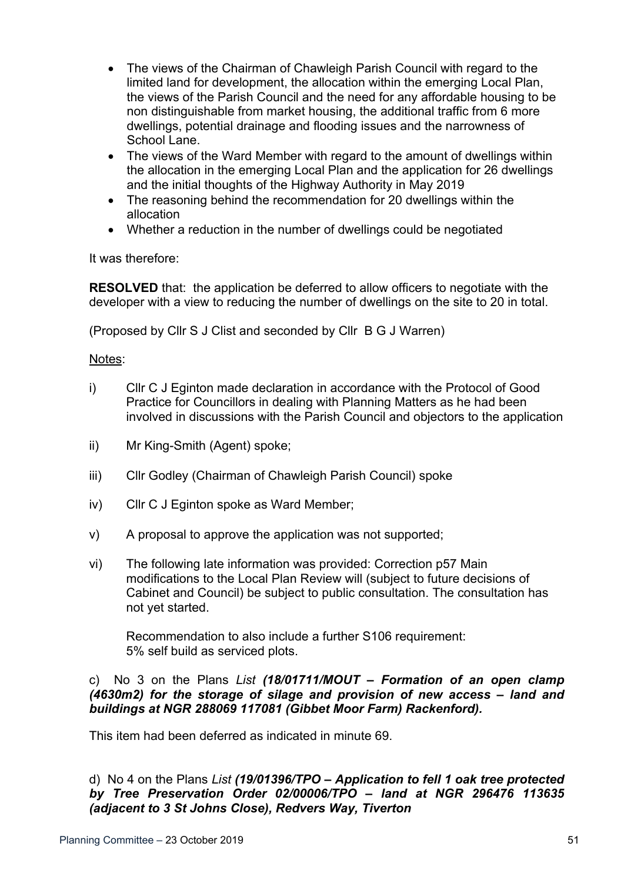- The views of the Chairman of Chawleigh Parish Council with regard to the limited land for development, the allocation within the emerging Local Plan, the views of the Parish Council and the need for any affordable housing to be non distinguishable from market housing, the additional traffic from 6 more dwellings, potential drainage and flooding issues and the narrowness of School Lane.
- The views of the Ward Member with regard to the amount of dwellings within the allocation in the emerging Local Plan and the application for 26 dwellings and the initial thoughts of the Highway Authority in May 2019
- The reasoning behind the recommendation for 20 dwellings within the allocation
- Whether a reduction in the number of dwellings could be negotiated

It was therefore:

**RESOLVED** that: the application be deferred to allow officers to negotiate with the developer with a view to reducing the number of dwellings on the site to 20 in total.

(Proposed by Cllr S J Clist and seconded by Cllr B G J Warren)

## Notes:

- i) Cllr C J Eginton made declaration in accordance with the Protocol of Good Practice for Councillors in dealing with Planning Matters as he had been involved in discussions with the Parish Council and objectors to the application
- ii) Mr King-Smith (Agent) spoke;
- iii) Cllr Godley (Chairman of Chawleigh Parish Council) spoke
- iv) Cllr C J Eginton spoke as Ward Member;
- v) A proposal to approve the application was not supported;
- vi) The following late information was provided: Correction p57 Main modifications to the Local Plan Review will (subject to future decisions of Cabinet and Council) be subject to public consultation. The consultation has not yet started.

Recommendation to also include a further S106 requirement: 5% self build as serviced plots.

## c) No 3 on the Plans *List (18/01711/MOUT – Formation of an open clamp (4630m2) for the storage of silage and provision of new access – land and buildings at NGR 288069 117081 (Gibbet Moor Farm) Rackenford).*

This item had been deferred as indicated in minute 69.

d) No 4 on the Plans *List (19/01396/TPO – Application to fell 1 oak tree protected by Tree Preservation Order 02/00006/TPO – land at NGR 296476 113635 (adjacent to 3 St Johns Close), Redvers Way, Tiverton*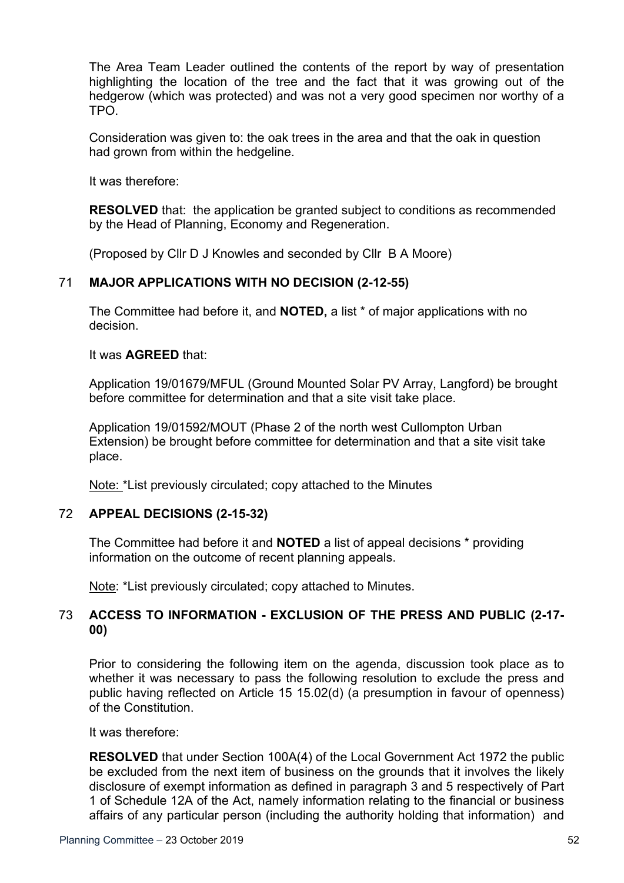The Area Team Leader outlined the contents of the report by way of presentation highlighting the location of the tree and the fact that it was growing out of the hedgerow (which was protected) and was not a very good specimen nor worthy of a TPO.

Consideration was given to: the oak trees in the area and that the oak in question had grown from within the hedgeline.

It was therefore:

**RESOLVED** that: the application be granted subject to conditions as recommended by the Head of Planning, Economy and Regeneration.

(Proposed by Cllr D J Knowles and seconded by Cllr B A Moore)

## 71 **MAJOR APPLICATIONS WITH NO DECISION (2-12-55)**

The Committee had before it, and **NOTED,** a list \* of major applications with no decision.

It was **AGREED** that:

Application 19/01679/MFUL (Ground Mounted Solar PV Array, Langford) be brought before committee for determination and that a site visit take place.

Application 19/01592/MOUT (Phase 2 of the north west Cullompton Urban Extension) be brought before committee for determination and that a site visit take place.

Note: \*List previously circulated; copy attached to the Minutes

## 72 **APPEAL DECISIONS (2-15-32)**

The Committee had before it and **NOTED** a list of appeal decisions \* providing information on the outcome of recent planning appeals.

Note: \*List previously circulated; copy attached to Minutes.

## 73 **ACCESS TO INFORMATION - EXCLUSION OF THE PRESS AND PUBLIC (2-17- 00)**

Prior to considering the following item on the agenda, discussion took place as to whether it was necessary to pass the following resolution to exclude the press and public having reflected on Article 15 15.02(d) (a presumption in favour of openness) of the Constitution.

It was therefore:

**RESOLVED** that under Section 100A(4) of the Local Government Act 1972 the public be excluded from the next item of business on the grounds that it involves the likely disclosure of exempt information as defined in paragraph 3 and 5 respectively of Part 1 of Schedule 12A of the Act, namely information relating to the financial or business affairs of any particular person (including the authority holding that information) and